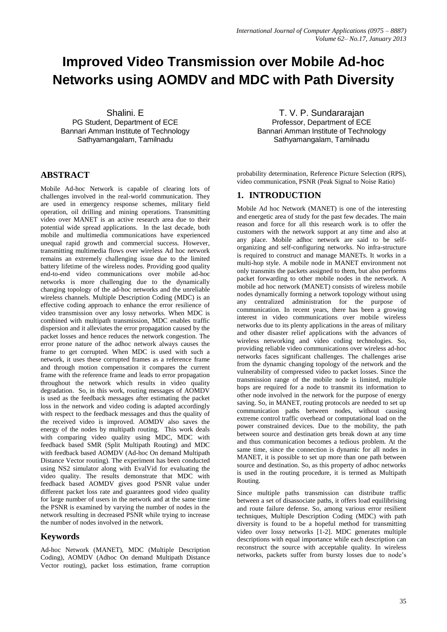# **Improved Video Transmission over Mobile Ad-hoc Networks using AOMDV and MDC with Path Diversity**

Shalini. E PG Student, Department of ECE Bannari Amman Institute of Technology Sathyamangalam, Tamilnadu

# **ABSTRACT**

Mobile Ad-hoc Network is capable of clearing lots of challenges involved in the real-world communication. They are used in emergency response schemes, military field operation, oil drilling and mining operations. Transmitting video over MANET is an active research area due to their potential wide spread applications. In the last decade, both mobile and multimedia communications have experienced unequal rapid growth and commercial success. However, transmitting multimedia flows over wireless Ad hoc network remains an extremely challenging issue due to the limited battery lifetime of the wireless nodes. Providing good quality end-to-end video communications over mobile ad-hoc networks is more challenging due to the dynamically changing topology of the ad-hoc networks and the unreliable wireless channels. Multiple Description Coding (MDC) is an effective coding approach to enhance the error resilience of video transmission over any lossy networks. When MDC is combined with multipath transmission, MDC enables traffic dispersion and it alleviates the error propagation caused by the packet losses and hence reduces the network congestion. The error prone nature of the adhoc network always causes the frame to get corrupted. When MDC is used with such a network, it uses these corrupted frames as a reference frame and through motion compensation it compares the current frame with the reference frame and leads to error propagation throughout the network which results in video quality degradation. So, in this work, routing messages of AOMDV is used as the feedback messages after estimating the packet loss in the network and video coding is adapted accordingly with respect to the feedback messages and thus the quality of the received video is improved. AOMDV also saves the energy of the nodes by multipath routing. This work deals with comparing video quality using MDC, MDC with feedback based SMR (Split Multipath Routing) and MDC with feedback based AOMDV (Ad-hoc On demand Multipath Distance Vector routing). The experiment has been conducted using NS2 simulator along with EvalVid for evaluating the video quality. The results demonstrate that MDC with feedback based AOMDV gives good PSNR value under different packet loss rate and guarantees good video quality for large number of users in the network and at the same time the PSNR is examined by varying the number of nodes in the network resulting in decreased PSNR while trying to increase the number of nodes involved in the network.

### **Keywords**

Ad-hoc Network (MANET), MDC (Multiple Description Coding), AOMDV (Adhoc On demand Multipath Distance Vector routing), packet loss estimation, frame corruption

T. V. P. Sundararajan Professor, Department of ECE Bannari Amman Institute of Technology Sathyamangalam, Tamilnadu

probability determination, Reference Picture Selection (RPS), video communication, PSNR (Peak Signal to Noise Ratio)

# **1. INTRODUCTION**

Mobile Ad hoc Network (MANET) is one of the interesting and energetic area of study for the past few decades. The main reason and force for all this research work is to offer the customers with the network support at any time and also at any place. Mobile adhoc network are said to be selforganizing and self-configuring networks. No infra-structure is required to construct and manage MANETs. It works in a multi-hop style. A mobile node in MANET environment not only transmits the packets assigned to them, but also performs packet forwarding to other mobile nodes in the network. A mobile ad hoc network (MANET) consists of wireless mobile nodes dynamically forming a network topology without using any centralized administration for the purpose of communication. In recent years, there has been a growing interest in video communications over mobile wireless networks due to its plenty applications in the areas of military and other disaster relief applications with the advances of wireless networking and video coding technologies. So, providing reliable video communications over wireless ad-hoc networks faces significant challenges. The challenges arise from the dynamic changing topology of the network and the vulnerability of compressed video to packet losses. Since the transmission range of the mobile node is limited, multiple hops are required for a node to transmit its information to other node involved in the network for the purpose of energy saving. So, in MANET, routing protocols are needed to set up communication paths between nodes, without causing extreme control traffic overhead or computational load on the power constrained devices. Due to the mobility, the path between source and destination gets break down at any time and thus communication becomes a tedious problem. At the same time, since the connection is dynamic for all nodes in MANET, it is possible to set up more than one path between source and destination. So, as this property of adhoc networks is used in the routing procedure, it is termed as Multipath Routing.

Since multiple paths transmission can distribute traffic between a set of disassociate paths, it offers load equilibrising and route failure defense. So, among various error resilient techniques, Multiple Description Coding (MDC) with path diversity is found to be a hopeful method for transmitting video over lossy networks [1-2]. MDC generates multiple descriptions with equal importance while each description can reconstruct the source with acceptable quality. In wireless networks, packets suffer from bursty losses due to node's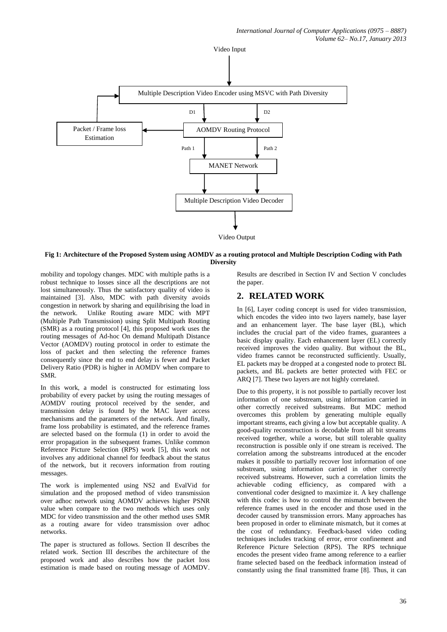

#### **Fig 1: Architecture of the Proposed System using AOMDV as a routing protocol and Multiple Description Coding with Path Diversity**

mobility and topology changes. MDC with multiple paths is a robust technique to losses since all the descriptions are not lost simultaneously. Thus the satisfactory quality of video is maintained [3]. Also, MDC with path diversity avoids congestion in network by sharing and equilibrising the load in the network. Unlike Routing aware MDC with MPT (Multiple Path Transmission) using Split Multipath Routing (SMR) as a routing protocol [4], this proposed work uses the routing messages of Ad-hoc On demand Multipath Distance Vector (AOMDV) routing protocol in order to estimate the loss of packet and then selecting the reference frames consequently since the end to end delay is fewer and Packet Delivery Ratio (PDR) is higher in AOMDV when compare to SMR.

In this work, a model is constructed for estimating loss probability of every packet by using the routing messages of AOMDV routing protocol received by the sender, and transmission delay is found by the MAC layer access mechanisms and the parameters of the network. And finally, frame loss probability is estimated, and the reference frames are selected based on the formula (1) in order to avoid the error propagation in the subsequent frames. Unlike common Reference Picture Selection (RPS) work [5], this work not involves any additional channel for feedback about the status of the network, but it recovers information from routing messages.

The work is implemented using NS2 and EvalVid for simulation and the proposed method of video transmission over adhoc network using AOMDV achieves higher PSNR value when compare to the two methods which uses only MDC for video transmission and the other method uses SMR as a routing aware for video transmission over adhoc networks.

The paper is structured as follows. Section II describes the related work. Section III describes the architecture of the proposed work and also describes how the packet loss estimation is made based on routing message of AOMDV.

Results are described in Section IV and Section V concludes the paper.

# **2. RELATED WORK**

In [6], Layer coding concept is used for video transmission, which encodes the video into two layers namely, base layer and an enhancement layer. The base layer (BL), which includes the crucial part of the video frames, guarantees a basic display quality. Each enhancement layer (EL) correctly received improves the video quality. But without the BL, video frames cannot be reconstructed sufficiently. Usually, EL packets may be dropped at a congested node to protect BL packets, and BL packets are better protected with FEC or ARQ [7]. These two layers are not highly correlated.

Due to this property, it is not possible to partially recover lost information of one substream, using information carried in other correctly received substreams. But MDC method overcomes this problem by generating multiple equally important streams, each giving a low but acceptable quality. A good-quality reconstruction is decodable from all bit streams received together, while a worse, but still tolerable quality reconstruction is possible only if one stream is received. The correlation among the substreams introduced at the encoder makes it possible to partially recover lost information of one substream, using information carried in other correctly received substreams. However, such a correlation limits the achievable coding efficiency, as compared with a conventional coder designed to maximize it. A key challenge with this codec is how to control the mismatch between the reference frames used in the encoder and those used in the decoder caused by transmission errors. Many approaches has been proposed in order to eliminate mismatch, but it comes at the cost of redundancy. Feedback-based video coding techniques includes tracking of error, error confinement and Reference Picture Selection (RPS). The RPS technique encodes the present video frame among reference to a earlier frame selected based on the feedback information instead of constantly using the final transmitted frame [8]. Thus, it can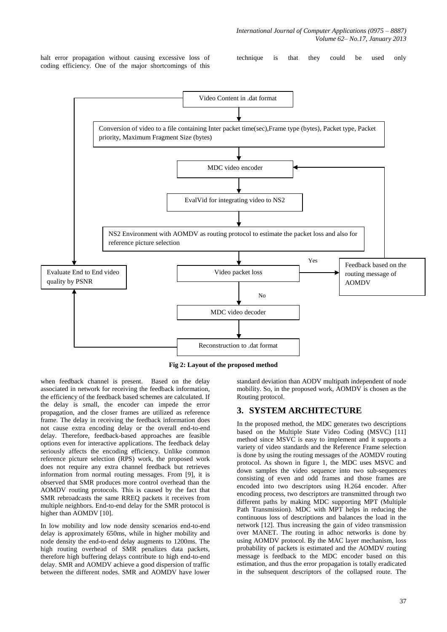halt error propagation without causing excessive loss of coding efficiency. One of the major shortcomings of this

technique is that they could be used only



**Fig 2: Layout of the proposed method**

when feedback channel is present. Based on the delay associated in network for receiving the feedback information, the efficiency of the feedback based schemes are calculated. If the delay is small, the encoder can impede the error propagation, and the closer frames are utilized as reference frame. The delay in receiving the feedback information does not cause extra encoding delay or the overall end-to-end delay. Therefore, feedback-based approaches are feasible options even for interactive applications. The feedback delay seriously affects the encoding efficiency. Unlike common reference picture selection (RPS) work, the proposed work does not require any extra channel feedback but retrieves information from normal routing messages. From [9], it is observed that SMR produces more control overhead than the AOMDV routing protocols. This is caused by the fact that SMR rebroadcasts the same RREQ packets it receives from multiple neighbors. End-to-end delay for the SMR protocol is higher than AOMDV [10].

In low mobility and low node density scenarios end-to-end delay is approximately 650ms, while in higher mobility and node density the end-to-end delay augments to 1200ms. The high routing overhead of SMR penalizes data packets, therefore high buffering delays contribute to high end-to-end delay. SMR and AOMDV achieve a good dispersion of traffic between the different nodes. SMR and AOMDV have lower

standard deviation than AODV multipath independent of node mobility. So, in the proposed work, AOMDV is chosen as the Routing protocol.

### **3. SYSTEM ARCHITECTURE**

In the proposed method, the MDC generates two descriptions based on the Multiple State Video Coding (MSVC) [11] method since MSVC is easy to implement and it supports a variety of video standards and the Reference Frame selection is done by using the routing messages of the AOMDV routing protocol. As shown in figure 1, the MDC uses MSVC and down samples the video sequence into two sub-sequences consisting of even and odd frames and those frames are encoded into two descriptors using H.264 encoder. After encoding process, two descriptors are transmitted through two different paths by making MDC supporting MPT (Multiple Path Transmission). MDC with MPT helps in reducing the continuous loss of descriptions and balances the load in the network [12]. Thus increasing the gain of video transmission over MANET. The routing in adhoc networks is done by using AOMDV protocol. By the MAC layer mechanism, loss probability of packets is estimated and the AOMDV routing message is feedback to the MDC encoder based on this estimation, and thus the error propagation is totally eradicated in the subsequent descriptors of the collapsed route. The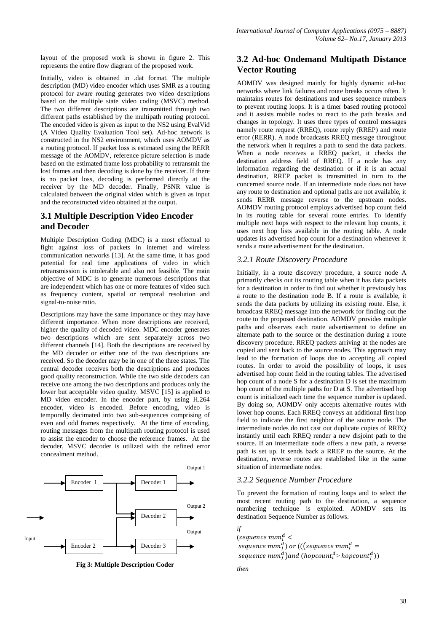layout of the proposed work is shown in figure 2. This represents the entire flow diagram of the proposed work.

Initially, video is obtained in .dat format. The multiple description (MD) video encoder which uses SMR as a routing protocol for aware routing generates two video descriptions based on the multiple state video coding (MSVC) method. The two different descriptions are transmitted through two different paths established by the multipath routing protocol. The encoded video is given as input to the NS2 using EvalVid (A Video Quality Evaluation Tool set). Ad-hoc network is constructed in the NS2 environment, which uses AOMDV as a routing protocol. If packet loss is estimated using the RERR message of the AOMDV, reference picture selection is made based on the estimated frame loss probability to retransmit the lost frames and then decoding is done by the receiver. If there is no packet loss, decoding is performed directly at the receiver by the MD decoder. Finally, PSNR value is calculated between the original video which is given as input and the reconstructed video obtained at the output.

# **3.1 Multiple Description Video Encoder and Decoder**

Multiple Description Coding (MDC) is a most effectual to fight against loss of packets in internet and wireless communication networks [13]. At the same time, it has good potential for real time applications of video in which retransmission is intolerable and also not feasible. The main objective of MDC is to generate numerous descriptions that are independent which has one or more features of video such as frequency content, spatial or temporal resolution and signal-to-noise ratio.

Descriptions may have the same importance or they may have different importance. When more descriptions are received, higher the quality of decoded video. MDC encoder generates two descriptions which are sent separately across two different channels [14]. Both the descriptions are received by the MD decoder or either one of the two descriptions are received. So the decoder may be in one of the three states. The central decoder receives both the descriptions and produces good quality reconstruction. While the two side decoders can receive one among the two descriptions and produces only the lower but acceptable video quality. MSVC [15] is applied to MD video encoder. In the encoder part, by using H.264 encoder, video is encoded. Before encoding, video is temporally decimated into two sub-sequences comprising of even and odd frames respectively. At the time of encoding, routing messages from the multipath routing protocol is used to assist the encoder to choose the reference frames. At the decoder, MSVC decoder is utilized with the refined error concealment method.



**Fig 3: Multiple Description Coder**

# **3.2 Ad-hoc Ondemand Multipath Distance Vector Routing**

AOMDV was designed mainly for highly dynamic ad-hoc networks where link failures and route breaks occurs often. It maintains routes for destinations and uses sequence numbers to prevent routing loops. It is a timer based routing protocol and it assists mobile nodes to react to the path breaks and changes in topology. It uses three types of control messages namely route request (RREQ), route reply (RREP) and route error (RERR). A node broadcasts RREQ message throughout the network when it requires a path to send the data packets. When a node receives a RREQ packet, it checks the destination address field of RREQ. If a node has any information regarding the destination or if it is an actual destination, RREP packet is transmitted in turn to the concerned source node. If an intermediate node does not have any route to destination and optional paths are not available, it sends RERR message reverse to the upstream nodes. AOMDV routing protocol employs advertised hop count field in its routing table for several route entries. To identify multiple next hops with respect to the relevant hop counts, it uses next hop lists available in the routing table. A node updates its advertised hop count for a destination whenever it sends a route advertisement for the destination.

# *3.2.1 Route Discovery Procedure*

Initially, in a route discovery procedure, a source node A primarily checks out its routing table when it has data packets for a destination in order to find out whether it previously has a route to the destination node B. If a route is available, it sends the data packets by utilizing its existing route. Else, it broadcast RREQ message into the network for finding out the route to the proposed destination. AOMDV provides multiple paths and observes each route advertisement to define an alternate path to the source or the destination during a route discovery procedure. RREQ packets arriving at the nodes are copied and sent back to the source nodes. This approach may lead to the formation of loops due to accepting all copied routes. In order to avoid the possibility of loops, it uses advertised hop count field in the routing tables. The advertised hop count of a node S for a destination D is set the maximum hop count of the multiple paths for D at S. The advertised hop count is initialized each time the sequence number is updated. By doing so, AOMDV only accepts alternative routes with lower hop counts. Each RREQ conveys an additional first hop field to indicate the first neighbor of the source node. The intermediate nodes do not cast out duplicate copies of RREQ instantly until each RREQ render a new disjoint path to the source. If an intermediate node offers a new path, a reverse path is set up. It sends back a RREP to the source. At the destination, reverse routes are established like in the same situation of intermediate nodes.

### *3.2.2 Sequence Number Procedure*

To prevent the formation of routing loops and to select the most recent routing path to the destination, a sequence numbering technique is exploited. AOMDV sets its destination Sequence Number as follows.

```
if
(sequence num_i^dsequence num_i^d) or (((sequence num_i^dsequence num_i^d)and (hopcount_i^d> hopcount_i^d)
```

```
then
```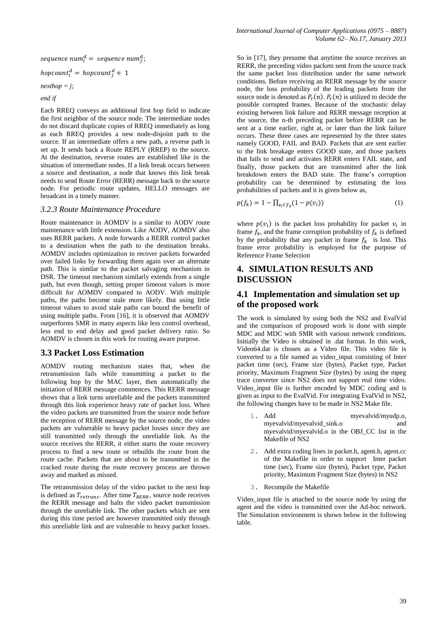sequence num $_i^d =$  sequence num $_i^d$ ;

hopcount $i^d$  = hopcount<sup>d</sup>

*nexthop = j;*

*end if*

Each RREQ conveys an additional first hop field to indicate the first neighbor of the source node. The intermediate nodes do not discard duplicate copies of RREQ immediately as long as each RREQ provides a new node-disjoint path to the source. If an intermediate offers a new path, a reverse path is set up. It sends back a Route REPLY (RREP) to the source. At the destination, reverse routes are established like in the situation of intermediate nodes. If a link break occurs between a source and destination, a node that knows this link break needs to send Route Error (RERR) message back to the source node. For periodic route updates, HELLO messages are broadcast in a timely manner.

#### *3.2.3 Route Maintenance Procedure*

Route maintenance in AOMDV is a similar to AODV route maintenance with little extension. Like AODV, AOMDV also uses RERR packets. A node forwards a RERR control packet to a destination when the path to the destination breaks. AOMDV includes optimization to recover packets forwarded over failed links by forwarding them again over an alternate path. This is similar to the packet salvaging mechanism in DSR. The timeout mechanism similarly extends from a single path, but even though, setting proper timeout values is more difficult for AOMDV compared to AODV. With multiple paths, the paths become stale more likely. But using little timeout values to avoid stale paths can bound the benefit of using multiple paths. From [16], it is observed that AOMDV outperforms SMR in many aspects like less control overhead, less end to end delay and good packet delivery ratio. So AOMDV is chosen in this work for routing aware purpose.

#### **3.3 Packet Loss Estimation**

AOMDV routing mechanism states that, when the retransmission fails while transmitting a packet to the following hop by the MAC layer, then automatically the initiation of RERR message commences. This RERR message shows that a link turns unreliable and the packets transmitted through this link experience heavy rate of packet loss. When the video packets are transmitted from the source node before the reception of RERR message by the source node, the video packets are vulnerable to heavy packet losses since they are still transmitted only through the unreliable link. As the source receives the RERR, it either starts the route recovery process to find a new route or rebuilds the route from the route cache. Packets that are about to be transmitted in the cracked route during the route recovery process are thrown away and marked as missed.

The retransmission delay of the video packet to the next hop is defined as  $T_{retrans}$ . After time  $T_{RERR}$ , source node receives the RERR message and halts the video packet transmission through the unreliable link. The other packets which are sent during this time period are however transmitted only through this unreliable link and are vulnerable to heavy packet losses.

So in [17], they presume that anytime the source receives an RERR, the preceding video packets sent from the source track the same packet loss distribution under the same network conditions. Before receiving an RERR message by the source node, the loss probability of the leading packets from the source node is denoted as  $P_r(n)$ .  $P_r(n)$  is utilized to decide the possible corrupted frames. Because of the stochastic delay existing between link failure and RERR message reception at the source, the n-th preceding packet before RERR can be sent at a time earlier, right at, or later than the link failure occurs. These three cases are represented by the three states namely GOOD, FAIL and BAD. Packets that are sent earlier to the link breakage enters GOOD state, and those packets that fails to send and activates RERR enters FAIL state, and finally, those packets that are transmitted after the link breakdown enters the BAD state. The frame's corruption probability can be determined by estimating the loss probabilities of packets and it is given below as,

$$
p(f_k) = 1 - \prod_{v_i \in f_k} (1 - p(v_i))
$$
 (1)

where  $p(v_i)$  is the packet loss probability for packet  $v_i$  in frame  $f_k$ , and the frame corruption probability of  $f_k$  is defined by the probability that any packet in frame  $f_k$  is lost. This frame error probability is employed for the purpose of Reference Frame Selection

# **4. SIMULATION RESULTS AND DISCUSSION**

### **4.1 Implementation and simulation set up of the proposed work**

The work is simulated by using both the NS2 and EvalVid and the comparison of proposed work is done with simple MDC and MDC with SMR with various network conditions. Initially the Video is obtained in .dat format. In this work, Video64.dat is chosen as a Video file. This video file is converted to a file named as video\_input consisting of Inter packet time (sec), Frame size (bytes), Packet type, Packet priority, Maximum Fragment Size (bytes) by using the mpeg trace converter since NS2 does not support real time video. Video\_input file is further encoded by MDC coding and is given as input to the EvalVid. For integrating EvalVid in NS2, the following changes have to be made in NS2 Make file.

- 1. Add myevalvid/myudp.o, myevalvid/myevalvid\_sink.o and myevalvid/myevalvid.o in the OBJ\_CC list in the Makefile of NS2
- 2. Add extra coding lines in packet.h, agent.h, agent.cc of the Makefile in order to support Inter packet time (sec), Frame size (bytes), Packet type, Packet priority, Maximum Fragment Size (bytes) in NS2
- 3. Recompile the Makefile

Video input file is attached to the source node by using the agent and the video is transmitted over the Ad-hoc network. The Simulation environment is shown below in the following table.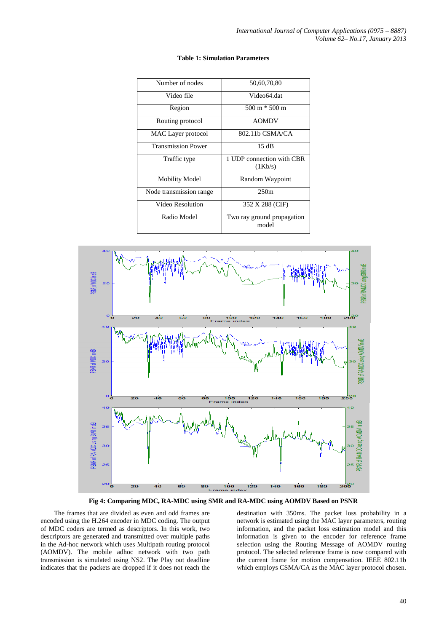| Number of nodes           | 50,60,70,80                          |
|---------------------------|--------------------------------------|
| Video file                | Video64 dat                          |
| Region                    | $500 \text{ m} * 500 \text{ m}$      |
| Routing protocol          | <b>AOMDV</b>                         |
| MAC Layer protocol        | 802.11b CSMA/CA                      |
| <b>Transmission Power</b> | 15dB                                 |
| Traffic type              | 1 UDP connection with CBR<br>(1Kb/s) |
| <b>Mobility Model</b>     | Random Waypoint                      |
| Node transmission range   | 250m                                 |
| Video Resolution          | 352 X 288 (CIF)                      |
| Radio Model               | Two ray ground propagation<br>model  |

#### **Table 1: Simulation Parameters**



**Fig 4: Comparing MDC, RA-MDC using SMR and RA-MDC using AOMDV Based on PSNR**

The frames that are divided as even and odd frames are encoded using the H.264 encoder in MDC coding. The output of MDC coders are termed as descriptors. In this work, two descriptors are generated and transmitted over multiple paths in the Ad-hoc network which uses Multipath routing protocol (AOMDV). The mobile adhoc network with two path transmission is simulated using NS2. The Play out deadline indicates that the packets are dropped if it does not reach the

destination with 350ms. The packet loss probability in a network is estimated using the MAC layer parameters, routing information, and the packet loss estimation model and this information is given to the encoder for reference frame selection using the Routing Message of AOMDV routing protocol. The selected reference frame is now compared with the current frame for motion compensation. IEEE 802.11b which employs CSMA/CA as the MAC layer protocol chosen.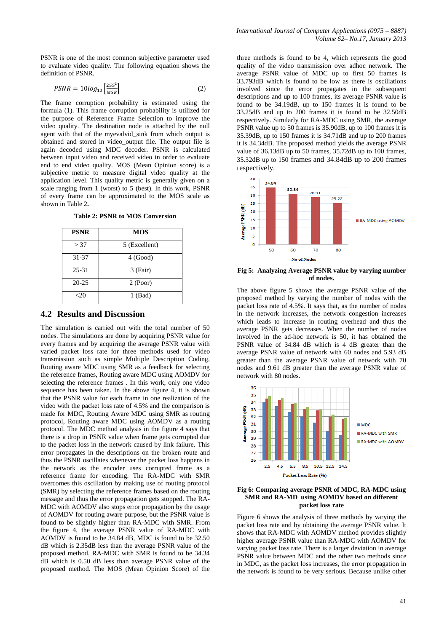PSNR is one of the most common subjective parameter used to evaluate video quality. The following equation shows the definition of PSNR.

$$
PSNR = 10log_{10}\left[\frac{255^2}{MSE}\right]
$$
 (2)

The frame corruption probability is estimated using the formula (1). This frame corruption probability is utilized for the purpose of Reference Frame Selection to improve the video quality. The destination node is attached by the null agent with that of the myevalvid\_sink from which output is obtained and stored in video\_output file. The output file is again decoded using MDC decoder. PSNR is calculated between input video and received video in order to evaluate end to end video quality. MOS (Mean Opinion score) is a subjective metric to measure digital video quality at the application level. This quality metric is generally given on a scale ranging from 1 (worst) to 5 (best). In this work, PSNR of every frame can be approximated to the MOS scale as shown in Table 2**.** 

**Table 2: PSNR to MOS Conversion**

| <b>PSNR</b> | <b>MOS</b>    |
|-------------|---------------|
| > 37        | 5 (Excellent) |
| 31-37       | 4 (Good)      |
| 25-31       | 3 (Fair)      |
| $20 - 25$   | 2 (Poor)      |
| <2Ω         | $1$ (Bad)     |

#### **4.2 Results and Discussion**

The simulation is carried out with the total number of 50 nodes. The simulations are done by acquiring PSNR value for every frames and by acquiring the average PSNR value with varied packet loss rate for three methods used for video transmission such as simple Multiple Description Coding, Routing aware MDC using SMR as a feedback for selecting the reference frames, Routing aware MDC using AOMDV for selecting the reference frames . In this work, only one video sequence has been taken. In the above figure 4, it is shown that the PSNR value for each frame in one realization of the video with the packet loss rate of 4.5% and the comparison is made for MDC, Routing Aware MDC using SMR as routing protocol, Routing aware MDC using AOMDV as a routing protocol. The MDC method analysis in the figure 4 says that there is a drop in PSNR value when frame gets corrupted due to the packet loss in the network caused by link failure. This error propagates in the descriptions on the broken route and thus the PSNR oscillates whenever the packet loss happens in the network as the encoder uses corrupted frame as a reference frame for encoding. The RA-MDC with SMR overcomes this oscillation by making use of routing protocol (SMR) by selecting the reference frames based on the routing message and thus the error propagation gets stopped. The RA-MDC with AOMDV also stops error propagation by the usage of AOMDV for routing aware purpose, but the PSNR value is found to be slightly higher than RA-MDC with SMR. From the figure 4, the average PSNR value of RA-MDC with AOMDV is found to be 34.84 dB, MDC is found to be 32.50 dB which is 2.35dB less than the average PSNR value of the proposed method, RA-MDC with SMR is found to be 34.34 dB which is 0.50 dB less than average PSNR value of the proposed method. The MOS (Mean Opinion Score) of the

three methods is found to be 4, which represents the good quality of the video transmission over adhoc network. The average PSNR value of MDC up to first 50 frames is 33.793dB which is found to be low as there is oscillations involved since the error propagates in the subsequent descriptions and up to 100 frames, its average PSNR value is found to be 34.19dB, up to 150 frames it is found to be 33.25dB and up to 200 frames it is found to be 32.50dB respectively. Similarly for RA-MDC using SMR, the average PSNR value up to 50 frames is 35.90dB, up to 100 frames it is 35.39dB, up to 150 frames it is 34.71dB and up to 200 frames it is 34.34dB. The proposed method yields the average PSNR value of 36.13dB up to 50 frames, 35.72dB up to 100 frames, 35.32dB up to 150 frames and 34.84dB up to 200 frames respectively.



**Fig 5: Analyzing Average PSNR value by varying number of nodes.**

The above figure 5 shows the average PSNR value of the proposed method by varying the number of nodes with the packet loss rate of 4.5%. It says that, as the number of nodes in the network increases, the network congestion increases which leads to increase in routing overhead and thus the average PSNR gets decreases. When the number of nodes involved in the ad-hoc network is 50, it has obtained the PSNR value of 34.84 dB which is 4 dB greater than the average PSNR value of network with 60 nodes and 5.93 dB greater than the average PSNR value of network with 70 nodes and 9.61 dB greater than the average PSNR value of network with 80 nodes.



#### **Fig 6: Comparing average PSNR of MDC, RA-MDC using SMR and RA-MD using AOMDV based on different packet loss rate**

Figure 6 shows the analysis of three methods by varying the packet loss rate and by obtaining the average PSNR value. It shows that RA-MDC with AOMDV method provides slightly higher average PSNR value than RA-MDC with AOMDV for varying packet loss rate. There is a larger deviation in average PSNR value between MDC and the other two methods since in MDC, as the packet loss increases, the error propagation in the network is found to be very serious. Because unlike other